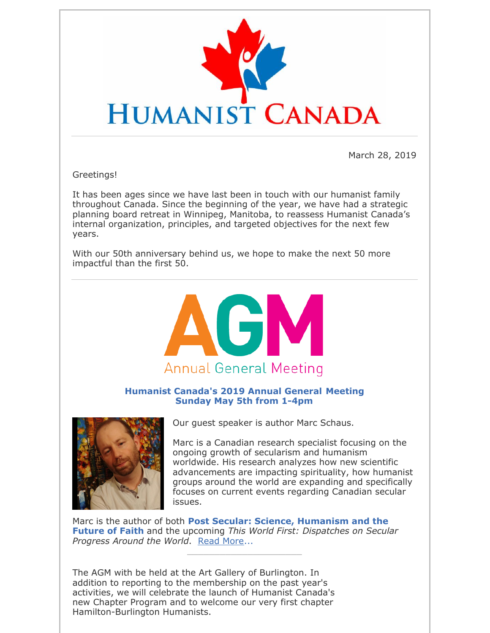

March 28, 2019

Greetings!

It has been ages since we have last been in touch with our humanist family throughout Canada. Since the beginning of the year, we have had a strategic planning board retreat in Winnipeg, Manitoba, to reassess Humanist Canada's internal organization, principles, and targeted objectives for the next few years.

With our 50th anniversary behind us, we hope to make the next 50 more impactful than the first 50.



**Humanist Canada's 2019 Annual General Meeting Sunday May 5th from 1-4pm**



Our guest speaker is author Marc Schaus.

Marc is a Canadian research specialist focusing on the ongoing growth of secularism and humanism worldwide. His research analyzes how new scientific advancements are impacting spirituality, how humanist groups around the world are expanding and specifically focuses on current events regarding Canadian secular issues.

Marc is the author of both **Post Secular: Science, Humanism and the Future of Faith** and the upcoming *This World First: Dispatches on Secular Progress Around the World*. Read More...

\_\_\_\_\_\_\_\_\_\_\_\_\_\_\_\_\_\_\_\_\_

The AGM with be held at the Art Gallery of Burlington. In addition to reporting to the membership on the past year's activities, we will celebrate the launch of Humanist Canada's new Chapter Program and to welcome our very first chapter Hamilton-Burlington Humanists.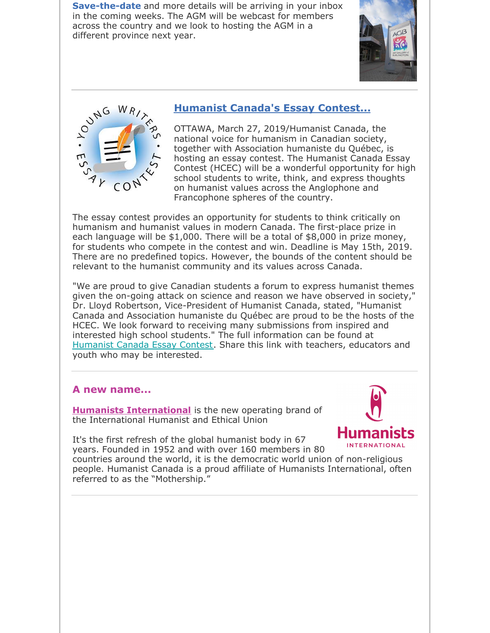**Save-the-date** and more details will be arriving in your inbox in the coming weeks. The AGM will be webcast for members across the country and we look to hosting the AGM in a different province next year.





# **Humanist Canada's Essay Contest...**

OTTAWA, March 27, 2019/Humanist Canada, the national voice for humanism in Canadian society, together with Association humaniste du Québec, is hosting an essay contest. The Humanist Canada Essay Contest (HCEC) will be a wonderful opportunity for high school students to write, think, and express thoughts on humanist values across the Anglophone and Francophone spheres of the country.

The essay contest provides an opportunity for students to think critically on humanism and humanist values in modern Canada. The first-place prize in each language will be \$1,000. There will be a total of \$8,000 in prize money, for students who compete in the contest and win. Deadline is May 15th, 2019. There are no predefined topics. However, the bounds of the content should be relevant to the humanist community and its values across Canada.

"We are proud to give Canadian students a forum to express humanist themes given the on-going attack on science and reason we have observed in society," Dr. Lloyd Robertson, Vice-President of Humanist Canada, stated, "Humanist Canada and Association humaniste du Québec are proud to be the hosts of the HCEC. We look forward to receiving many submissions from inspired and interested high school students." The full information can be found at Humanist Canada Essay Contest. Share this link with teachers, educators and youth who may be interested.

## **A new name...**

**Humanists International** is the new operating brand of the International Humanist and Ethical Union



It's the first refresh of the global humanist body in 67 years. Founded in 1952 and with over 160 members in 80

countries around the world, it is the democratic world union of non-religious people. Humanist Canada is a proud affiliate of Humanists International, often referred to as the "Mothership."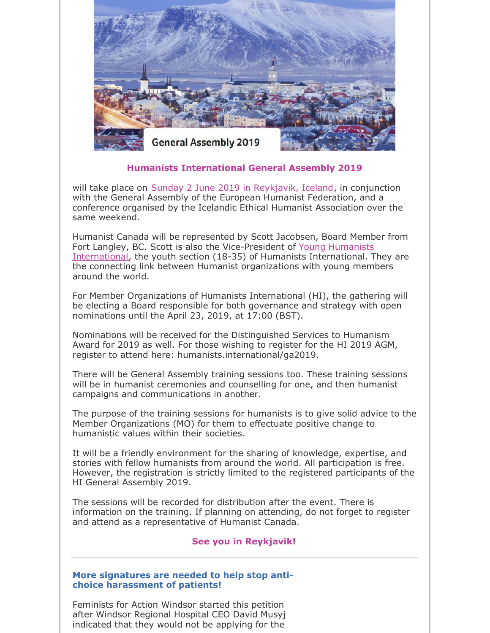

### **Humanists International General Assembly 2019**

will take place on Sunday 2 June 2019 in Reykjavik, Iceland, in conjunction with the General Assembly of the European Humanist Federation, and a conference organised by the Icelandic Ethical Humanist Association over the same weekend.

Humanist Canada will be represented by Scott Jacobsen, Board Member from Fort Langley, BC. Scott is also the Vice-President of Young Humanists International, the youth section (18-35) of Humanists International. They are the connecting link between Humanist organizations with young members around the world.

For Member Organizations of Humanists International (HI), the gathering will be electing a Board responsible for both governance and strategy with open nominations until the April 23, 2019, at 17:00 (BST).

Nominations will be received for the Distinguished Services to Humanism Award for 2019 as well. For those wishing to register for the HI 2019 AGM, register to attend here: humanists.international/ga2019.

There will be General Assembly training sessions too. These training sessions will be in humanist ceremonies and counselling for one, and then humanist campaigns and communications in another.

The purpose of the training sessions for humanists is to give solid advice to the Member Organizations (MO) for them to effectuate positive change to humanistic values within their societies.

It will be a friendly environment for the sharing of knowledge, expertise, and stories with fellow humanists from around the world. All participation is free. However, the registration is strictly limited to the registered participants of the HI General Assembly 2019.

The sessions will be recorded for distribution after the event. There is information on the training. If planning on attending, do not forget to register and attend as a representative of Humanist Canada.

#### **See you in Reykjavik!**

#### **More signatures are needed to help stop antichoice harassment of patients!**

Feminists for Action Windsor started this petition after Windsor Regional Hospital CEO David Musyj indicated that they would not be applying for the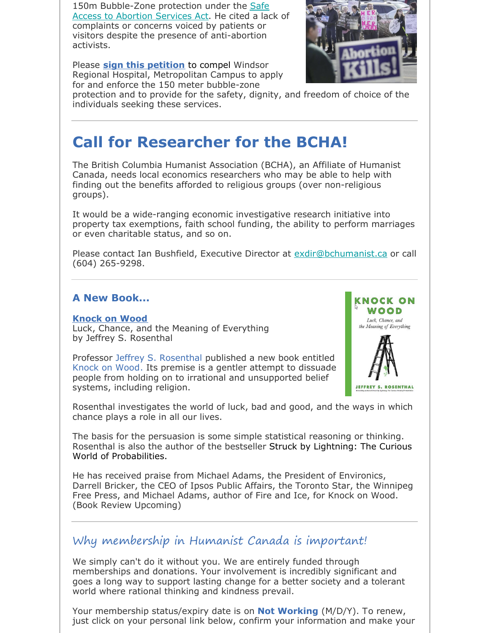150m Bubble-Zone protection under the Safe Access to Abortion Services Act. He cited a lack of complaints or concerns voiced by patients or visitors despite the presence of anti-abortion activists.

Please **sign this petition** to compel Windsor Regional Hospital, Metropolitan Campus to apply for and enforce the 150 meter bubble-zone



protection and to provide for the safety, dignity, and freedom of choice of the individuals seeking these services.

# **Call for Researcher for the BCHA!**

The British Columbia Humanist Association (BCHA), an Affiliate of Humanist Canada, needs local economics researchers who may be able to help with finding out the benefits afforded to religious groups (over non-religious groups).

It would be a wide-ranging economic investigative research initiative into property tax exemptions, faith school funding, the ability to perform marriages or even charitable status, and so on.

Please contact Ian Bushfield, Executive Director at exdir@bchumanist.ca or call (604) 265-9298.

## **A New Book...**

#### **Knock on Wood**

Luck, Chance, and the Meaning of Everything by Jeffrey S. Rosenthal

Professor Jeffrey S. Rosenthal published a new book entitled Knock on Wood. Its premise is a gentler attempt to dissuade people from holding on to irrational and unsupported belief systems, including religion.



Rosenthal investigates the world of luck, bad and good, and the ways in which chance plays a role in all our lives.

The basis for the persuasion is some simple statistical reasoning or thinking. Rosenthal is also the author of the bestseller Struck by Lightning: The Curious World of Probabilities.

He has received praise from Michael Adams, the President of Environics, Darrell Bricker, the CEO of Ipsos Public Affairs, the Toronto Star, the Winnipeg Free Press, and Michael Adams, author of Fire and Ice, for Knock on Wood. (Book Review Upcoming)

# Why membership in Humanist Canada is important!

We simply can't do it without you. We are entirely funded through memberships and donations. Your involvement is incredibly significant and goes a long way to support lasting change for a better society and a tolerant world where rational thinking and kindness prevail.

Your membership status/expiry date is on **Not Working** (M/D/Y). To renew, just click on your personal link below, confirm your information and make your